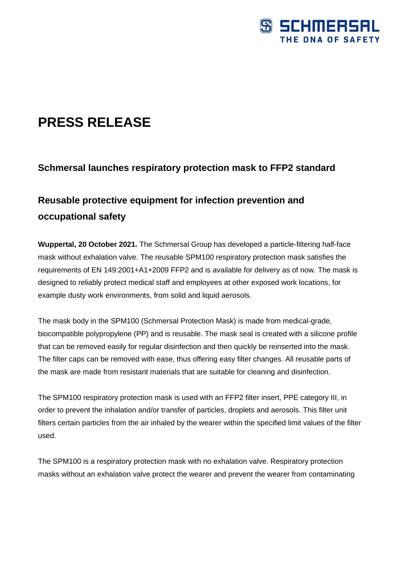

# **PRESS RELEASE**

### **Schmersal launches respiratory protection mask to FFP2 standard**

## **Reusable protective equipment for infection prevention and occupational safety**

**Wuppertal, 20 October 2021.** The Schmersal Group has developed a particle-filtering half-face mask without exhalation valve. The reusable SPM100 respiratory protection mask satisfies the requirements of EN 149:2001+A1+2009 FFP2 and is available for delivery as of now. The mask is designed to reliably protect medical staff and employees at other exposed work locations, for example dusty work environments, from solid and liquid aerosols.

The mask body in the SPM100 (Schmersal Protection Mask) is made from medical-grade, biocompatible polypropylene (PP) and is reusable. The mask seal is created with a silicone profile that can be removed easily for regular disinfection and then quickly be reinserted into the mask. The filter caps can be removed with ease, thus offering easy filter changes. All reusable parts of the mask are made from resistant materials that are suitable for cleaning and disinfection.

The SPM100 respiratory protection mask is used with an FFP2 filter insert, PPE category III, in order to prevent the inhalation and/or transfer of particles, droplets and aerosols. This filter unit filters certain particles from the air inhaled by the wearer within the specified limit values of the filter used.

The SPM100 is a respiratory protection mask with no exhalation valve. Respiratory protection masks without an exhalation valve protect the wearer and prevent the wearer from contaminating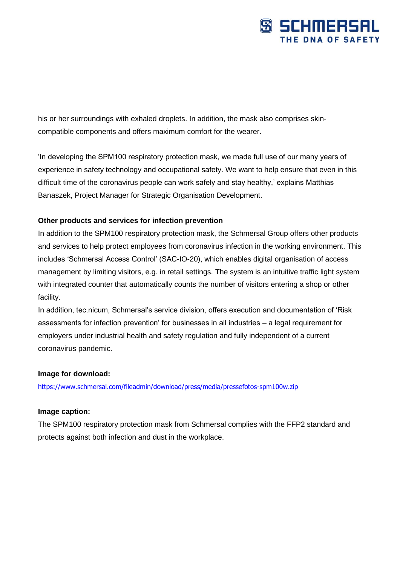

his or her surroundings with exhaled droplets. In addition, the mask also comprises skincompatible components and offers maximum comfort for the wearer.

'In developing the SPM100 respiratory protection mask, we made full use of our many years of experience in safety technology and occupational safety. We want to help ensure that even in this difficult time of the coronavirus people can work safely and stay healthy,' explains Matthias Banaszek, Project Manager for Strategic Organisation Development.

#### **Other products and services for infection prevention**

In addition to the SPM100 respiratory protection mask, the Schmersal Group offers other products and services to help protect employees from coronavirus infection in the working environment. This includes 'Schmersal Access Control' (SAC-IO-20), which enables digital organisation of access management by limiting visitors, e.g. in retail settings. The system is an intuitive traffic light system with integrated counter that automatically counts the number of visitors entering a shop or other facility.

In addition, tec.nicum, Schmersal's service division, offers execution and documentation of 'Risk assessments for infection prevention' for businesses in all industries – a legal requirement for employers under industrial health and safety regulation and fully independent of a current coronavirus pandemic.

#### **Image for download:**

[https://www.schmersal.com/fileadmin/download/press/media/pressefotos-spm100w.zip](https://eur03.safelinks.protection.outlook.com/?url=https%3A%2F%2Fwww.schmersal.com%2Ffileadmin%2Fdownload%2Fpress%2Fmedia%2Fpressefotos-spm100w.zip&data=04%7C01%7CSBloemker%40schmersal.com%7C994f914523e04466b6de08d9930ae81e%7C5bba174727094b46a3319a4c23a8a7b6%7C0%7C0%7C637702497978943715%7CUnknown%7CTWFpbGZsb3d8eyJWIjoiMC4wLjAwMDAiLCJQIjoiV2luMzIiLCJBTiI6Ik1haWwiLCJXVCI6Mn0%3D%7C3000&sdata=IBLMo1nvh0A0E4kZAZKcODW%2FsAt6JdYaoVMpe8Fwr8o%3D&reserved=0)

#### **Image caption:**

The SPM100 respiratory protection mask from Schmersal complies with the FFP2 standard and protects against both infection and dust in the workplace.